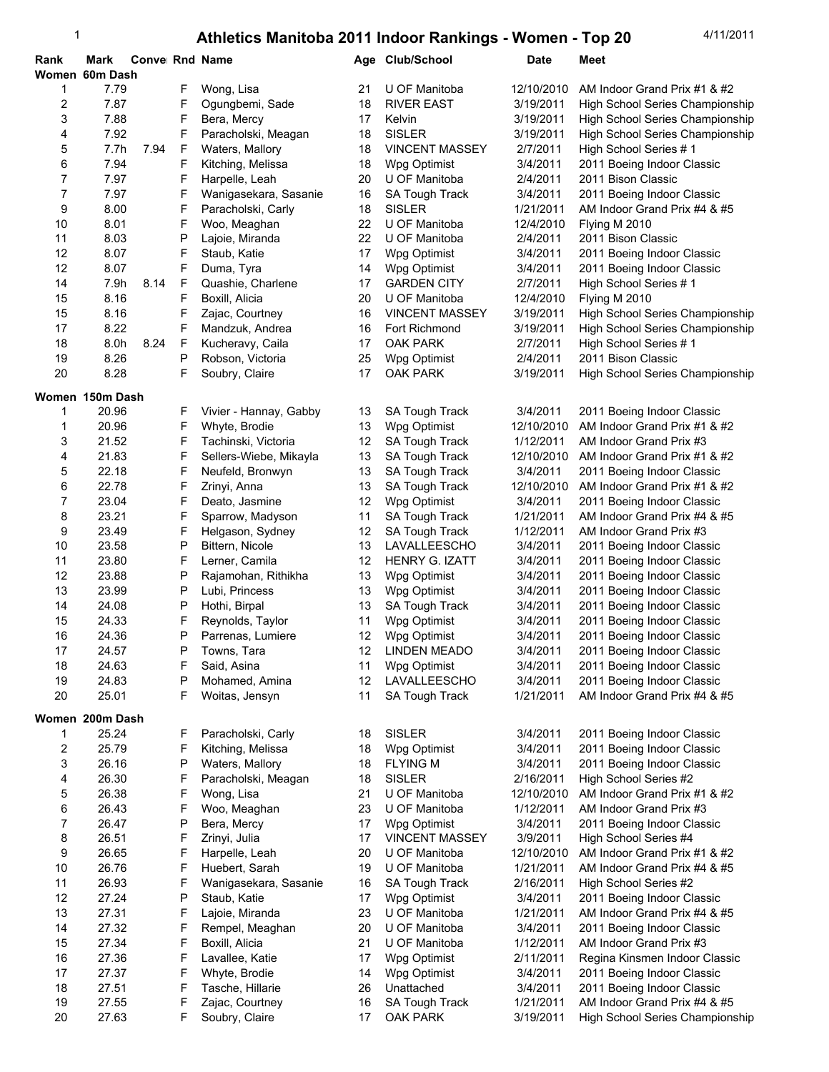| Rank           | Mark<br>Women 60m Dash | Convel Rnd Name |        |                                     |          | Age Club/School                | Date                   | Meet                                                  |
|----------------|------------------------|-----------------|--------|-------------------------------------|----------|--------------------------------|------------------------|-------------------------------------------------------|
| 1              | 7.79                   |                 | F      | Wong, Lisa                          | 21       | U OF Manitoba                  | 12/10/2010             | AM Indoor Grand Prix #1 & #2                          |
| 2              | 7.87                   |                 | F      | Ogungbemi, Sade                     | 18       | <b>RIVER EAST</b>              | 3/19/2011              | High School Series Championship                       |
| 3              | 7.88                   |                 | F      | Bera, Mercy                         | 17       | Kelvin                         | 3/19/2011              | High School Series Championship                       |
| 4              | 7.92                   |                 | F      | Paracholski, Meagan                 | 18       | <b>SISLER</b>                  | 3/19/2011              | High School Series Championship                       |
| 5              | 7.7h                   | 7.94            | F      | Waters, Mallory                     | 18       | <b>VINCENT MASSEY</b>          | 2/7/2011               | High School Series #1                                 |
| 6              | 7.94                   |                 | F      | Kitching, Melissa                   | 18       | Wpg Optimist                   | 3/4/2011               | 2011 Boeing Indoor Classic                            |
| 7              | 7.97                   |                 | F      | Harpelle, Leah                      | 20       | U OF Manitoba                  | 2/4/2011               | 2011 Bison Classic                                    |
| $\overline{7}$ | 7.97                   |                 | F      | Wanigasekara, Sasanie               | 16       | SA Tough Track                 | 3/4/2011               | 2011 Boeing Indoor Classic                            |
| 9              | 8.00                   |                 | F      | Paracholski, Carly                  | 18       | <b>SISLER</b>                  | 1/21/2011              | AM Indoor Grand Prix #4 & #5                          |
| 10             | 8.01                   |                 | F      | Woo, Meaghan                        | 22       | U OF Manitoba                  | 12/4/2010              | Flying M 2010                                         |
| 11             | 8.03                   |                 | P      | Lajoie, Miranda                     | 22       | U OF Manitoba                  | 2/4/2011               | 2011 Bison Classic                                    |
| 12             | 8.07                   |                 | F      | Staub, Katie                        | 17       | Wpg Optimist                   | 3/4/2011               | 2011 Boeing Indoor Classic                            |
| 12             | 8.07                   |                 | F      | Duma, Tyra                          | 14       | Wpg Optimist                   | 3/4/2011               | 2011 Boeing Indoor Classic                            |
| 14             | 7.9h                   | 8.14            | F      | Quashie, Charlene                   | 17       | <b>GARDEN CITY</b>             | 2/7/2011               | High School Series #1                                 |
| 15             | 8.16                   |                 | F      | Boxill, Alicia                      | 20       | U OF Manitoba                  | 12/4/2010              | Flying M 2010                                         |
| 15             | 8.16                   |                 | F      | Zajac, Courtney                     | 16       | <b>VINCENT MASSEY</b>          | 3/19/2011              | High School Series Championship                       |
| 17             | 8.22                   |                 | F      | Mandzuk, Andrea                     | 16       | Fort Richmond                  | 3/19/2011              | High School Series Championship                       |
| 18             | 8.0h                   | 8.24            | F      | Kucheravy, Caila                    | 17       | <b>OAK PARK</b>                | 2/7/2011               | High School Series #1                                 |
| 19             | 8.26                   |                 | Ρ      | Robson, Victoria                    | 25       | Wpg Optimist                   | 2/4/2011               | 2011 Bison Classic                                    |
| 20             | 8.28                   |                 | F      | Soubry, Claire                      | 17       | <b>OAK PARK</b>                | 3/19/2011              | High School Series Championship                       |
|                | Women 150m Dash        |                 |        |                                     |          |                                |                        |                                                       |
| 1              | 20.96                  |                 | F      | Vivier - Hannay, Gabby              | 13       | <b>SA Tough Track</b>          | 3/4/2011               | 2011 Boeing Indoor Classic                            |
| 1              | 20.96                  |                 | F      | Whyte, Brodie                       | 13       | Wpg Optimist                   | 12/10/2010             | AM Indoor Grand Prix #1 & #2                          |
| 3              | 21.52                  |                 | F      | Tachinski, Victoria                 | 12       | SA Tough Track                 | 1/12/2011              | AM Indoor Grand Prix #3                               |
| 4              | 21.83                  |                 | F      | Sellers-Wiebe, Mikayla              | 13       | SA Tough Track                 | 12/10/2010             | AM Indoor Grand Prix #1 & #2                          |
| 5              | 22.18                  |                 | F      | Neufeld, Bronwyn                    | 13       | SA Tough Track                 | 3/4/2011               | 2011 Boeing Indoor Classic                            |
| 6              | 22.78                  |                 | F      | Zrinyi, Anna                        | 13       | SA Tough Track                 | 12/10/2010             | AM Indoor Grand Prix #1 & #2                          |
| 7              | 23.04                  |                 | F      | Deato, Jasmine                      | 12       | Wpg Optimist                   | 3/4/2011               | 2011 Boeing Indoor Classic                            |
| 8<br>9         | 23.21<br>23.49         |                 | F<br>F | Sparrow, Madyson                    | 11       | <b>SA Tough Track</b>          | 1/21/2011<br>1/12/2011 | AM Indoor Grand Prix #4 & #5                          |
| 10             | 23.58                  |                 | P      | Helgason, Sydney<br>Bittern, Nicole | 12<br>13 | SA Tough Track<br>LAVALLEESCHO | 3/4/2011               | AM Indoor Grand Prix #3<br>2011 Boeing Indoor Classic |
| 11             | 23.80                  |                 | F      | Lerner, Camila                      | 12       | <b>HENRY G. IZATT</b>          | 3/4/2011               | 2011 Boeing Indoor Classic                            |
| 12             | 23.88                  |                 | P      | Rajamohan, Rithikha                 | 13       | Wpg Optimist                   | 3/4/2011               | 2011 Boeing Indoor Classic                            |
| 13             | 23.99                  |                 | Ρ      | Lubi, Princess                      | 13       | Wpg Optimist                   | 3/4/2011               | 2011 Boeing Indoor Classic                            |
| 14             | 24.08                  |                 | Ρ      | Hothi, Birpal                       | 13       | <b>SA Tough Track</b>          | 3/4/2011               | 2011 Boeing Indoor Classic                            |
| 15             | 24.33                  |                 | F      | Reynolds, Taylor                    | 11       | Wpg Optimist                   | 3/4/2011               | 2011 Boeing Indoor Classic                            |
| 16             | 24.36                  |                 | P      | Parrenas, Lumiere                   | 12       | Wpg Optimist                   | 3/4/2011               | 2011 Boeing Indoor Classic                            |
| 17             | 24.57                  |                 | P      | Towns, Tara                         | 12       | LINDEN MEADO                   | 3/4/2011               | 2011 Boeing Indoor Classic                            |
| 18             | 24.63                  |                 | F      | Said, Asina                         | 11       | Wpg Optimist                   | 3/4/2011               | 2011 Boeing Indoor Classic                            |
| 19             | 24.83                  |                 | Ρ      | Mohamed, Amina                      | 12       | LAVALLEESCHO                   | 3/4/2011               | 2011 Boeing Indoor Classic                            |
| 20             | 25.01                  |                 | F      | Woitas, Jensyn                      | 11       | SA Tough Track                 | 1/21/2011              | AM Indoor Grand Prix #4 & #5                          |
|                | Women 200m Dash        |                 |        |                                     |          |                                |                        |                                                       |
| 1              | 25.24                  |                 | F      | Paracholski, Carly                  | 18       | <b>SISLER</b>                  | 3/4/2011               | 2011 Boeing Indoor Classic                            |
| 2              | 25.79                  |                 | F      | Kitching, Melissa                   | 18       | Wpg Optimist                   | 3/4/2011               | 2011 Boeing Indoor Classic                            |
| 3              | 26.16                  |                 | Ρ      | Waters, Mallory                     | 18       | <b>FLYING M</b>                | 3/4/2011               | 2011 Boeing Indoor Classic                            |
| 4              | 26.30                  |                 | F      | Paracholski, Meagan                 | 18       | <b>SISLER</b>                  | 2/16/2011              | High School Series #2                                 |
| 5              | 26.38                  |                 | F      | Wong, Lisa                          | 21       | U OF Manitoba                  | 12/10/2010             | AM Indoor Grand Prix #1 & #2                          |
| 6              | 26.43                  |                 | F      | Woo, Meaghan                        | 23       | U OF Manitoba                  | 1/12/2011              | AM Indoor Grand Prix #3                               |
| 7              | 26.47                  |                 | Ρ      | Bera, Mercy                         | 17       | Wpg Optimist                   | 3/4/2011               | 2011 Boeing Indoor Classic                            |
| 8              | 26.51                  |                 | F      | Zrinyi, Julia                       | 17       | <b>VINCENT MASSEY</b>          | 3/9/2011               | High School Series #4                                 |
| 9              | 26.65                  |                 | F      | Harpelle, Leah                      | 20       | U OF Manitoba                  | 12/10/2010             | AM Indoor Grand Prix #1 & #2                          |
| 10             | 26.76                  |                 | F      | Huebert, Sarah                      | 19       | U OF Manitoba                  | 1/21/2011              | AM Indoor Grand Prix #4 & #5                          |
| 11             | 26.93                  |                 | F      | Wanigasekara, Sasanie               | 16       | <b>SA Tough Track</b>          | 2/16/2011              | High School Series #2                                 |
| 12             | 27.24                  |                 | Ρ      | Staub, Katie                        | 17       | Wpg Optimist                   | 3/4/2011               | 2011 Boeing Indoor Classic                            |
| 13             | 27.31                  |                 | F      | Lajoie, Miranda                     | 23       | U OF Manitoba                  | 1/21/2011              | AM Indoor Grand Prix #4 & #5                          |
| 14             | 27.32                  |                 | F      | Rempel, Meaghan                     | 20       | U OF Manitoba                  | 3/4/2011               | 2011 Boeing Indoor Classic                            |
| 15             | 27.34                  |                 | F      | Boxill, Alicia                      | 21       | U OF Manitoba                  | 1/12/2011              | AM Indoor Grand Prix #3                               |
| 16             | 27.36                  |                 | F      | Lavallee, Katie                     | 17       | Wpg Optimist                   | 2/11/2011              | Regina Kinsmen Indoor Classic                         |
| 17             | 27.37                  |                 | F      | Whyte, Brodie                       | 14       | Wpg Optimist                   | 3/4/2011               | 2011 Boeing Indoor Classic                            |
| 18             | 27.51                  |                 | F      | Tasche, Hillarie                    | 26       | Unattached                     | 3/4/2011               | 2011 Boeing Indoor Classic                            |
| 19             | 27.55                  |                 | F      | Zajac, Courtney                     | 16       | <b>SA Tough Track</b>          | 1/21/2011              | AM Indoor Grand Prix #4 & #5                          |
| 20             | 27.63                  |                 | F      | Soubry, Claire                      | 17       | <b>OAK PARK</b>                | 3/19/2011              | High School Series Championship                       |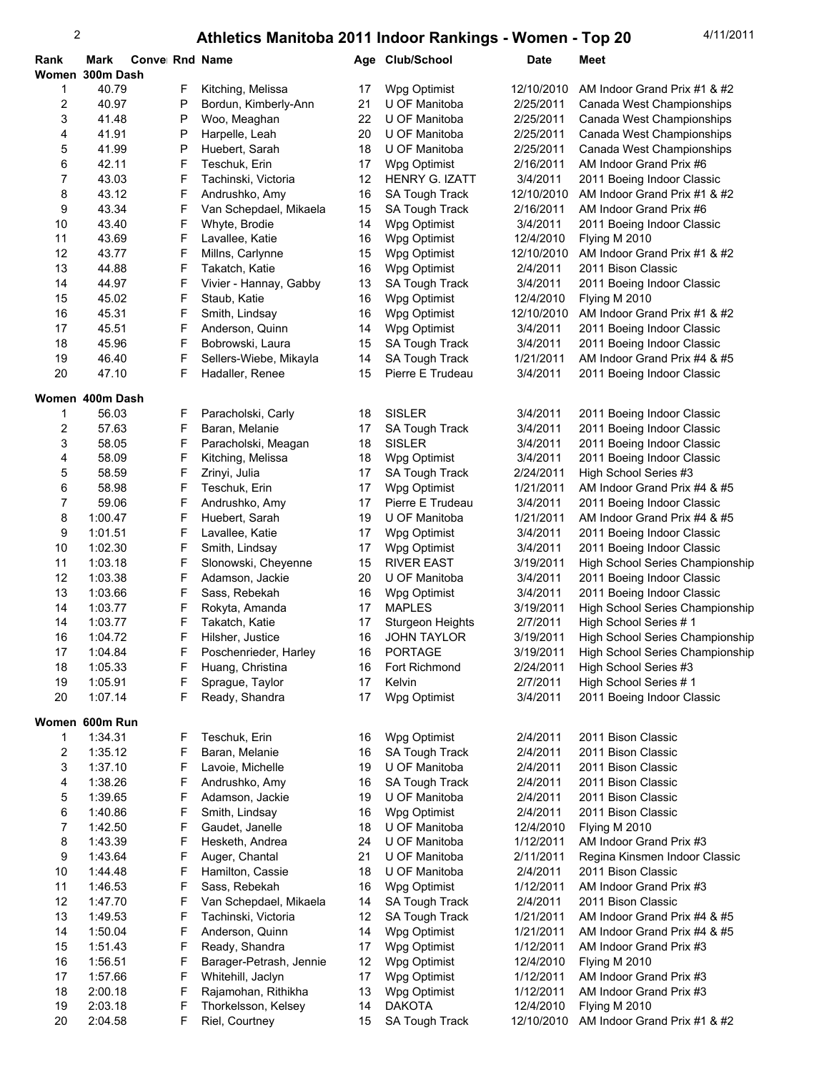| Rank            | Mark    | Conve Rnd Name |   |                         |    | Age Club/School       | Date       | Meet                            |
|-----------------|---------|----------------|---|-------------------------|----|-----------------------|------------|---------------------------------|
| Women 300m Dash |         |                |   |                         |    |                       |            |                                 |
| 1               | 40.79   |                | F | Kitching, Melissa       | 17 | Wpg Optimist          | 12/10/2010 | AM Indoor Grand Prix #1 & #2    |
| 2               | 40.97   |                | P | Bordun, Kimberly-Ann    | 21 | U OF Manitoba         | 2/25/2011  | Canada West Championships       |
| 3               | 41.48   |                | Ρ | Woo, Meaghan            | 22 | U OF Manitoba         | 2/25/2011  | Canada West Championships       |
| 4               | 41.91   |                | Ρ | Harpelle, Leah          | 20 | U OF Manitoba         | 2/25/2011  | Canada West Championships       |
| 5               | 41.99   |                | Ρ | Huebert, Sarah          | 18 | U OF Manitoba         | 2/25/2011  | Canada West Championships       |
| 6               | 42.11   |                | F | Teschuk, Erin           | 17 | Wpg Optimist          | 2/16/2011  | AM Indoor Grand Prix #6         |
| 7               | 43.03   |                | F | Tachinski, Victoria     | 12 | <b>HENRY G. IZATT</b> | 3/4/2011   | 2011 Boeing Indoor Classic      |
| 8               | 43.12   |                | F | Andrushko, Amy          | 16 | <b>SA Tough Track</b> | 12/10/2010 | AM Indoor Grand Prix #1 & #2    |
| 9               | 43.34   |                | F | Van Schepdael, Mikaela  | 15 | SA Tough Track        | 2/16/2011  | AM Indoor Grand Prix #6         |
| 10              | 43.40   |                | F | Whyte, Brodie           | 14 | Wpg Optimist          | 3/4/2011   | 2011 Boeing Indoor Classic      |
| 11              | 43.69   |                | F | Lavallee, Katie         | 16 | Wpg Optimist          | 12/4/2010  | Flying M 2010                   |
| 12              | 43.77   |                | F | Millns, Carlynne        | 15 | Wpg Optimist          | 12/10/2010 | AM Indoor Grand Prix #1 & #2    |
| 13              | 44.88   |                | F | Takatch, Katie          | 16 | Wpg Optimist          | 2/4/2011   | 2011 Bison Classic              |
| 14              | 44.97   |                | F | Vivier - Hannay, Gabby  | 13 | <b>SA Tough Track</b> | 3/4/2011   | 2011 Boeing Indoor Classic      |
| 15              | 45.02   |                | F | Staub, Katie            | 16 | Wpg Optimist          | 12/4/2010  | Flying M 2010                   |
| 16              | 45.31   |                | F | Smith, Lindsay          | 16 | Wpg Optimist          | 12/10/2010 | AM Indoor Grand Prix #1 & #2    |
| 17              | 45.51   |                | F | Anderson, Quinn         | 14 | Wpg Optimist          | 3/4/2011   | 2011 Boeing Indoor Classic      |
| 18              | 45.96   |                | F | Bobrowski, Laura        | 15 | SA Tough Track        | 3/4/2011   | 2011 Boeing Indoor Classic      |
| 19              | 46.40   |                | F | Sellers-Wiebe, Mikayla  | 14 | SA Tough Track        | 1/21/2011  | AM Indoor Grand Prix #4 & #5    |
| 20              | 47.10   |                | F | Hadaller, Renee         | 15 | Pierre E Trudeau      | 3/4/2011   | 2011 Boeing Indoor Classic      |
|                 |         |                |   |                         |    |                       |            |                                 |
| Women 400m Dash |         |                |   |                         |    |                       |            |                                 |
| 1               | 56.03   |                | F | Paracholski, Carly      | 18 | <b>SISLER</b>         | 3/4/2011   | 2011 Boeing Indoor Classic      |
| 2               | 57.63   |                | F | Baran, Melanie          | 17 | SA Tough Track        | 3/4/2011   | 2011 Boeing Indoor Classic      |
| 3               | 58.05   |                | F | Paracholski, Meagan     | 18 | <b>SISLER</b>         | 3/4/2011   | 2011 Boeing Indoor Classic      |
| 4               | 58.09   |                | F | Kitching, Melissa       | 18 | Wpg Optimist          | 3/4/2011   | 2011 Boeing Indoor Classic      |
| 5               | 58.59   |                | F | Zrinyi, Julia           | 17 | <b>SA Tough Track</b> | 2/24/2011  | High School Series #3           |
| 6               | 58.98   |                | F | Teschuk, Erin           | 17 | Wpg Optimist          | 1/21/2011  | AM Indoor Grand Prix #4 & #5    |
| 7               | 59.06   |                | F | Andrushko, Amy          | 17 | Pierre E Trudeau      | 3/4/2011   | 2011 Boeing Indoor Classic      |
| 8               | 1:00.47 |                | F | Huebert, Sarah          | 19 | U OF Manitoba         | 1/21/2011  | AM Indoor Grand Prix #4 & #5    |
| 9               | 1:01.51 |                | F | Lavallee, Katie         | 17 | Wpg Optimist          | 3/4/2011   | 2011 Boeing Indoor Classic      |
| 10              | 1:02.30 |                | F | Smith, Lindsay          | 17 | Wpg Optimist          | 3/4/2011   | 2011 Boeing Indoor Classic      |
| 11              | 1:03.18 |                | F | Slonowski, Cheyenne     | 15 | <b>RIVER EAST</b>     | 3/19/2011  | High School Series Championship |
| 12              | 1:03.38 |                | F | Adamson, Jackie         | 20 | U OF Manitoba         | 3/4/2011   | 2011 Boeing Indoor Classic      |
| 13              | 1:03.66 |                | F | Sass, Rebekah           | 16 | Wpg Optimist          | 3/4/2011   | 2011 Boeing Indoor Classic      |
| 14              | 1:03.77 |                | F | Rokyta, Amanda          | 17 | <b>MAPLES</b>         | 3/19/2011  | High School Series Championship |
| 14              | 1:03.77 |                | F | Takatch, Katie          | 17 | Sturgeon Heights      | 2/7/2011   | High School Series #1           |
| 16              | 1:04.72 |                | F | Hilsher, Justice        | 16 | <b>JOHN TAYLOR</b>    | 3/19/2011  | High School Series Championship |
| 17              | 1:04.84 |                | F | Poschenrieder, Harley   | 16 | <b>PORTAGE</b>        | 3/19/2011  | High School Series Championship |
| 18              | 1:05.33 |                | F | Huang, Christina        | 16 | Fort Richmond         | 2/24/2011  | High School Series #3           |
| 19              | 1:05.91 |                | F | Sprague, Taylor         | 17 | Kelvin                | 2/7/2011   | High School Series #1           |
| 20              | 1:07.14 |                | F | Ready, Shandra          | 17 | Wpg Optimist          | 3/4/2011   | 2011 Boeing Indoor Classic      |
|                 |         |                |   |                         |    |                       |            |                                 |
| Women 600m Run  |         |                |   |                         |    |                       |            |                                 |
| 1               | 1:34.31 |                | F | Teschuk, Erin           | 16 | Wpg Optimist          | 2/4/2011   | 2011 Bison Classic              |
| 2               | 1:35.12 |                | F | Baran, Melanie          | 16 | SA Tough Track        | 2/4/2011   | 2011 Bison Classic              |
| 3               | 1:37.10 |                | F | Lavoie, Michelle        | 19 | U OF Manitoba         | 2/4/2011   | 2011 Bison Classic              |
| 4               | 1:38.26 |                | F | Andrushko, Amy          | 16 | <b>SA Tough Track</b> | 2/4/2011   | 2011 Bison Classic              |
| 5               | 1:39.65 |                | F | Adamson, Jackie         | 19 | U OF Manitoba         | 2/4/2011   | 2011 Bison Classic              |
| 6               | 1:40.86 |                | F | Smith, Lindsay          | 16 | Wpg Optimist          | 2/4/2011   | 2011 Bison Classic              |
| 7               | 1:42.50 |                | F | Gaudet, Janelle         | 18 | U OF Manitoba         | 12/4/2010  | Flying M 2010                   |
| 8               | 1:43.39 |                | F | Hesketh, Andrea         | 24 | U OF Manitoba         | 1/12/2011  | AM Indoor Grand Prix #3         |
| 9               | 1:43.64 |                | F | Auger, Chantal          | 21 | U OF Manitoba         | 2/11/2011  | Regina Kinsmen Indoor Classic   |
| 10              | 1:44.48 |                | F | Hamilton, Cassie        | 18 | U OF Manitoba         | 2/4/2011   | 2011 Bison Classic              |
| 11              | 1:46.53 |                | F | Sass, Rebekah           | 16 | Wpg Optimist          | 1/12/2011  | AM Indoor Grand Prix #3         |
| 12              | 1:47.70 |                | F | Van Schepdael, Mikaela  | 14 | SA Tough Track        | 2/4/2011   | 2011 Bison Classic              |
| 13              | 1:49.53 |                | F | Tachinski, Victoria     | 12 | <b>SA Tough Track</b> | 1/21/2011  | AM Indoor Grand Prix #4 & #5    |
| 14              | 1:50.04 |                | F | Anderson, Quinn         | 14 | Wpg Optimist          | 1/21/2011  | AM Indoor Grand Prix #4 & #5    |
| 15              | 1:51.43 |                | F | Ready, Shandra          | 17 | Wpg Optimist          | 1/12/2011  | AM Indoor Grand Prix #3         |
| 16              | 1:56.51 |                | F | Barager-Petrash, Jennie | 12 | Wpg Optimist          | 12/4/2010  | Flying M 2010                   |
| 17              | 1:57.66 |                | F | Whitehill, Jaclyn       | 17 | Wpg Optimist          | 1/12/2011  | AM Indoor Grand Prix #3         |
| 18              | 2:00.18 |                | F | Rajamohan, Rithikha     | 13 | Wpg Optimist          | 1/12/2011  | AM Indoor Grand Prix #3         |
| 19              | 2:03.18 |                | F | Thorkelsson, Kelsey     | 14 | <b>DAKOTA</b>         | 12/4/2010  | Flying M 2010                   |
| 20              | 2:04.58 |                | F | Riel, Courtney          | 15 | SA Tough Track        | 12/10/2010 | AM Indoor Grand Prix #1 & #2    |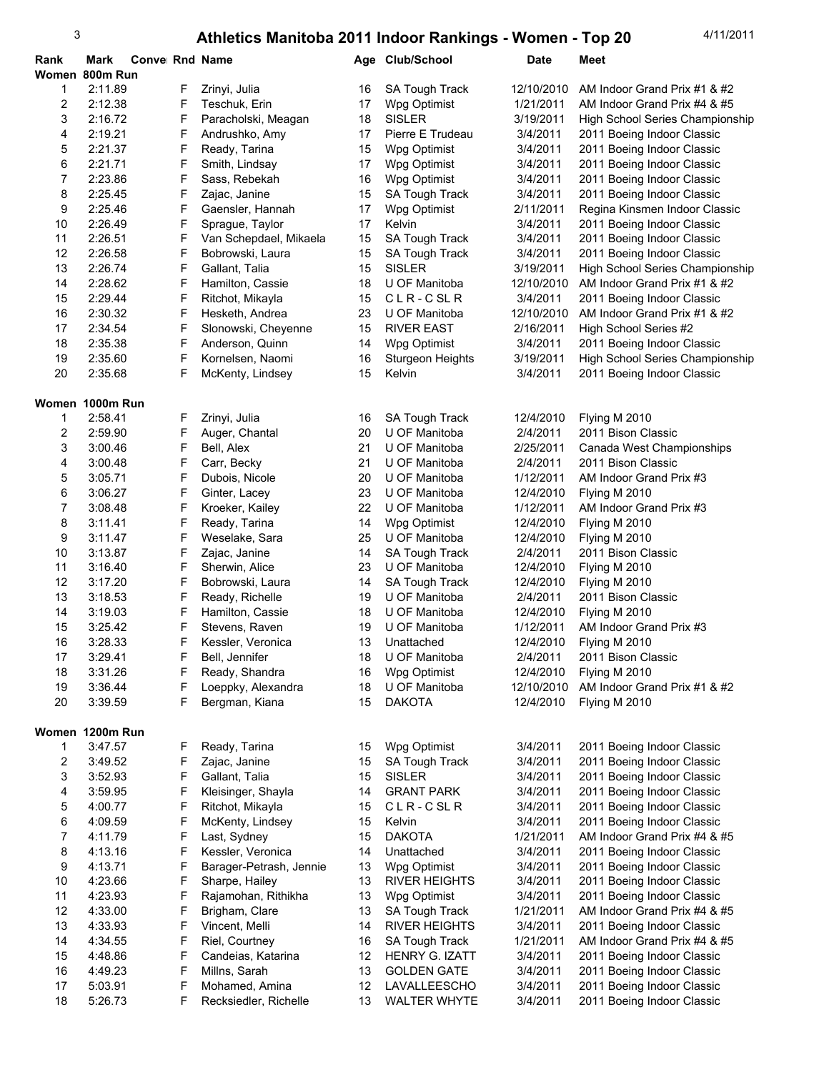| Rank            | Mark               | Convei Rnd Name |        |                                         |          | Age Club/School              | <b>Date</b>          | Meet                                                     |
|-----------------|--------------------|-----------------|--------|-----------------------------------------|----------|------------------------------|----------------------|----------------------------------------------------------|
| Women 800m Run  |                    |                 |        |                                         |          |                              |                      |                                                          |
| 1               | 2:11.89            |                 | F      | Zrinyi, Julia                           | 16       | SA Tough Track               | 12/10/2010           | AM Indoor Grand Prix #1 & #2                             |
| 2               | 2:12.38            |                 | F      | Teschuk, Erin                           | 17       | Wpg Optimist                 | 1/21/2011            | AM Indoor Grand Prix #4 & #5                             |
| 3               | 2:16.72            |                 | F      | Paracholski, Meagan                     | 18       | <b>SISLER</b>                | 3/19/2011            | High School Series Championship                          |
| 4               | 2:19.21            |                 | F      | Andrushko, Amy                          | 17       | Pierre E Trudeau             | 3/4/2011             | 2011 Boeing Indoor Classic                               |
| 5               | 2:21.37            |                 | F      | Ready, Tarina                           | 15       | Wpg Optimist                 | 3/4/2011             | 2011 Boeing Indoor Classic                               |
| 6               | 2:21.71            |                 | F      | Smith, Lindsay                          | 17       | Wpg Optimist                 | 3/4/2011             | 2011 Boeing Indoor Classic                               |
| 7               | 2:23.86            |                 | F      | Sass, Rebekah                           | 16       | Wpg Optimist                 | 3/4/2011             | 2011 Boeing Indoor Classic                               |
| 8               | 2:25.45            |                 | F      | Zajac, Janine                           | 15       | <b>SA Tough Track</b>        | 3/4/2011             | 2011 Boeing Indoor Classic                               |
| 9               | 2:25.46            |                 | F      | Gaensler, Hannah                        | 17       | Wpg Optimist                 | 2/11/2011            | Regina Kinsmen Indoor Classic                            |
| 10              | 2:26.49            |                 | F      | Sprague, Taylor                         | 17       | Kelvin                       | 3/4/2011             | 2011 Boeing Indoor Classic                               |
| 11              | 2:26.51            |                 | F      | Van Schepdael, Mikaela                  | 15       | SA Tough Track               | 3/4/2011             | 2011 Boeing Indoor Classic                               |
| 12              | 2:26.58            |                 | F      | Bobrowski, Laura                        | 15       | SA Tough Track               | 3/4/2011             | 2011 Boeing Indoor Classic                               |
| 13              | 2:26.74            |                 | F      | Gallant, Talia                          | 15       | <b>SISLER</b>                | 3/19/2011            | High School Series Championship                          |
| 14              | 2:28.62            |                 | F      | Hamilton, Cassie                        | 18       | U OF Manitoba                | 12/10/2010           | AM Indoor Grand Prix #1 & #2                             |
| 15              | 2:29.44            |                 | F      | Ritchot, Mikayla                        | 15       | CLR-CSLR                     | 3/4/2011             | 2011 Boeing Indoor Classic                               |
| 16              | 2:30.32            |                 | F      | Hesketh, Andrea                         | 23       | U OF Manitoba                | 12/10/2010           | AM Indoor Grand Prix #1 & #2                             |
| 17              | 2:34.54            |                 | F      | Slonowski, Cheyenne                     | 15       | <b>RIVER EAST</b>            | 2/16/2011            | High School Series #2                                    |
| 18              | 2:35.38            |                 | F      | Anderson, Quinn                         | 14       | Wpg Optimist                 | 3/4/2011             | 2011 Boeing Indoor Classic                               |
| 19              | 2:35.60            |                 | F      | Kornelsen, Naomi                        | 16       | <b>Sturgeon Heights</b>      | 3/19/2011            | High School Series Championship                          |
| 20              | 2:35.68            |                 | F      | McKenty, Lindsey                        | 15       | Kelvin                       | 3/4/2011             | 2011 Boeing Indoor Classic                               |
|                 |                    |                 |        |                                         |          |                              |                      |                                                          |
|                 | Women 1000m Run    |                 |        |                                         |          |                              |                      |                                                          |
| 1               | 2:58.41            |                 | F      | Zrinyi, Julia                           | 16       | <b>SA Tough Track</b>        | 12/4/2010            | Flying M 2010                                            |
| 2               | 2.59.90            |                 | F      | Auger, Chantal                          | 20       | U OF Manitoba                | 2/4/2011             | 2011 Bison Classic                                       |
| 3               | 3:00.46            |                 | F      | Bell, Alex                              | 21       | U OF Manitoba                | 2/25/2011            | Canada West Championships                                |
| 4               | 3:00.48            |                 | F      | Carr, Becky                             | 21       | U OF Manitoba                | 2/4/2011             | 2011 Bison Classic                                       |
| 5               | 3:05.71            |                 | F      | Dubois, Nicole                          | 20       | U OF Manitoba                | 1/12/2011            | AM Indoor Grand Prix #3                                  |
| 6               | 3:06.27            |                 | F      | Ginter, Lacey                           | 23       | U OF Manitoba                | 12/4/2010            | Flying M 2010                                            |
| 7               | 3:08.48            |                 | F      | Kroeker, Kailey                         | 22       | U OF Manitoba                | 1/12/2011            | AM Indoor Grand Prix #3                                  |
| 8               | 3:11.41            |                 | F      | Ready, Tarina                           | 14       | Wpg Optimist                 | 12/4/2010            | Flying M 2010                                            |
| 9               | 3:11.47            |                 | F      | Weselake, Sara                          | 25       | U OF Manitoba                | 12/4/2010            | Flying M 2010                                            |
| 10              | 3:13.87            |                 | F      | Zajac, Janine                           | 14       | <b>SA Tough Track</b>        | 2/4/2011             | 2011 Bison Classic                                       |
| 11              | 3:16.40            |                 | F      | Sherwin, Alice                          | 23       | U OF Manitoba                | 12/4/2010            | Flying M 2010                                            |
| 12              | 3:17.20            |                 | F      | Bobrowski, Laura                        | 14       | SA Tough Track               | 12/4/2010            | Flying M 2010                                            |
| 13              | 3:18.53            |                 | F      | Ready, Richelle                         | 19       | U OF Manitoba                | 2/4/2011             | 2011 Bison Classic                                       |
| 14              | 3:19.03            |                 | F      | Hamilton, Cassie                        | 18       | U OF Manitoba                | 12/4/2010            | Flying M 2010                                            |
| 15              | 3:25.42            |                 | F      | Stevens, Raven                          | 19       | U OF Manitoba                | 1/12/2011            | AM Indoor Grand Prix #3                                  |
| 16              | 3:28.33            |                 | F      | Kessler, Veronica                       | 13       | Unattached                   | 12/4/2010            | Flying M 2010                                            |
| 17              | 3.29.41            |                 | F      | Bell, Jennifer                          | $18$     | U OF Manitoba                | 2/4/2011             | 2011 Bison Classic                                       |
| 18              | 3:31.26            |                 | F      | Ready, Shandra                          | 16       | Wpg Optimist                 | 12/4/2010            | Flying M 2010                                            |
| 19              | 3:36.44            |                 | F      | Loeppky, Alexandra                      | 18       | U OF Manitoba                | 12/10/2010           | AM Indoor Grand Prix #1 & #2                             |
| 20              | 3.39.59            |                 | F      | Bergman, Kiana                          | 15       | <b>DAKOTA</b>                | 12/4/2010            | Flying M 2010                                            |
|                 |                    |                 |        |                                         |          |                              |                      |                                                          |
| Women 1200m Run |                    |                 |        |                                         |          |                              |                      |                                                          |
| 1               | 3.47.57            |                 | F      | Ready, Tarina                           | 15       | Wpg Optimist                 | 3/4/2011             | 2011 Boeing Indoor Classic                               |
| 2               | 3.49.52            |                 | F      | Zajac, Janine                           | 15       | SA Tough Track               | 3/4/2011             | 2011 Boeing Indoor Classic                               |
| 3               | 3.52.93            |                 | F      | Gallant, Talia                          | 15       | <b>SISLER</b>                | 3/4/2011             | 2011 Boeing Indoor Classic                               |
| 4               | 3:59.95            |                 | F      | Kleisinger, Shayla                      | 14       | <b>GRANT PARK</b>            | 3/4/2011             | 2011 Boeing Indoor Classic                               |
| 5               | 4:00.77            |                 | F      | Ritchot, Mikayla                        | 15       | CLR-CSLR                     | 3/4/2011             | 2011 Boeing Indoor Classic                               |
| 6               | 4:09.59            |                 | F      | McKenty, Lindsey                        | 15       | Kelvin                       | 3/4/2011             | 2011 Boeing Indoor Classic                               |
| 7               | 4:11.79            |                 | F      | Last, Sydney                            | 15       | <b>DAKOTA</b>                | 1/21/2011            | AM Indoor Grand Prix #4 & #5                             |
| 8               | 4:13.16            |                 | F      | Kessler, Veronica                       | 14       | Unattached                   | 3/4/2011             | 2011 Boeing Indoor Classic                               |
| 9               | 4:13.71            |                 | F      | Barager-Petrash, Jennie                 | 13       | Wpg Optimist                 | 3/4/2011             | 2011 Boeing Indoor Classic                               |
| 10              | 4:23.66            |                 | F      | Sharpe, Hailey                          | 13       | <b>RIVER HEIGHTS</b>         | 3/4/2011             | 2011 Boeing Indoor Classic                               |
| 11              | 4:23.93            |                 | F      | Rajamohan, Rithikha                     | 13       | Wpg Optimist                 | 3/4/2011             | 2011 Boeing Indoor Classic                               |
| 12              | 4:33.00            |                 | F      | Brigham, Clare                          | 13       | <b>SA Tough Track</b>        | 1/21/2011            | AM Indoor Grand Prix #4 & #5                             |
| 13              | 4:33.93            |                 | F      | Vincent, Melli                          | 14       | <b>RIVER HEIGHTS</b>         | 3/4/2011             | 2011 Boeing Indoor Classic                               |
| 14              | 4:34.55            |                 | F      | Riel, Courtney                          | 16       | SA Tough Track               | 1/21/2011            | AM Indoor Grand Prix #4 & #5                             |
| 15              | 4:48.86            |                 | F      | Candeias, Katarina                      | 12       | HENRY G. IZATT               | 3/4/2011             | 2011 Boeing Indoor Classic                               |
| 16<br>17        | 4:49.23            |                 | F      | Millns, Sarah                           | 13       | <b>GOLDEN GATE</b>           | 3/4/2011             | 2011 Boeing Indoor Classic<br>2011 Boeing Indoor Classic |
| 18              | 5:03.91<br>5:26.73 |                 | F<br>F | Mohamed, Amina<br>Recksiedler, Richelle | 12<br>13 | LAVALLEESCHO<br>WALTER WHYTE | 3/4/2011<br>3/4/2011 | 2011 Boeing Indoor Classic                               |
|                 |                    |                 |        |                                         |          |                              |                      |                                                          |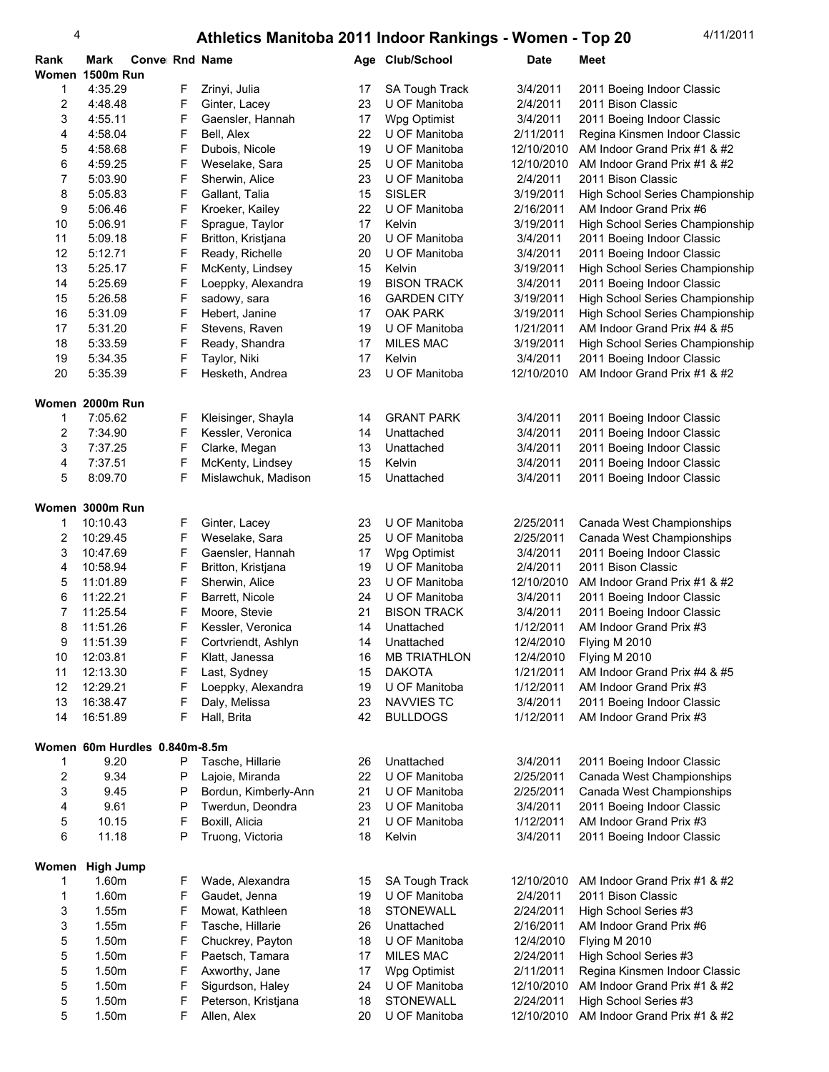| Rank           | Mark                          | Conve Rnd Name |   |                      | Age | <b>Club/School</b>    | <b>Date</b> | Meet                            |
|----------------|-------------------------------|----------------|---|----------------------|-----|-----------------------|-------------|---------------------------------|
| Women          | <b>1500m Run</b>              |                |   |                      |     |                       |             |                                 |
| 1              | 4:35.29                       |                | F | Zrinyi, Julia        | 17  | <b>SA Tough Track</b> | 3/4/2011    | 2011 Boeing Indoor Classic      |
| $\sqrt{2}$     | 4:48.48                       |                | F | Ginter, Lacey        | 23  | U OF Manitoba         | 2/4/2011    | 2011 Bison Classic              |
| 3              | 4.55.11                       |                | F | Gaensler, Hannah     | 17  | Wpg Optimist          | 3/4/2011    | 2011 Boeing Indoor Classic      |
| 4              | 4.58.04                       |                | F | Bell, Alex           | 22  | U OF Manitoba         | 2/11/2011   | Regina Kinsmen Indoor Classic   |
|                |                               |                |   |                      |     | U OF Manitoba         |             |                                 |
| 5              | 4:58.68                       |                | F | Dubois, Nicole       | 19  |                       | 12/10/2010  | AM Indoor Grand Prix #1 & #2    |
| 6              | 4:59.25                       |                | F | Weselake, Sara       | 25  | U OF Manitoba         | 12/10/2010  | AM Indoor Grand Prix #1 & #2    |
| 7              | 5:03.90                       |                | F | Sherwin, Alice       | 23  | U OF Manitoba         | 2/4/2011    | 2011 Bison Classic              |
| 8              | 5:05.83                       |                | F | Gallant, Talia       | 15  | <b>SISLER</b>         | 3/19/2011   | High School Series Championship |
| 9              | 5.06.46                       |                | F | Kroeker, Kailey      | 22  | U OF Manitoba         | 2/16/2011   | AM Indoor Grand Prix #6         |
| 10             | 5:06.91                       |                | F | Sprague, Taylor      | 17  | Kelvin                | 3/19/2011   | High School Series Championship |
| 11             | 5:09.18                       |                | F | Britton, Kristjana   | 20  | U OF Manitoba         | 3/4/2011    | 2011 Boeing Indoor Classic      |
| 12             | 5:12.71                       |                | F | Ready, Richelle      | 20  | U OF Manitoba         | 3/4/2011    | 2011 Boeing Indoor Classic      |
| 13             | 5:25.17                       |                | F | McKenty, Lindsey     | 15  | Kelvin                | 3/19/2011   | High School Series Championship |
| 14             | 5:25.69                       |                | F | Loeppky, Alexandra   | 19  | <b>BISON TRACK</b>    | 3/4/2011    | 2011 Boeing Indoor Classic      |
| 15             | 5:26.58                       |                | F |                      | 16  | <b>GARDEN CITY</b>    | 3/19/2011   |                                 |
|                |                               |                |   | sadowy, sara         |     |                       |             | High School Series Championship |
| 16             | 5:31.09                       |                | F | Hebert, Janine       | 17  | <b>OAK PARK</b>       | 3/19/2011   | High School Series Championship |
| 17             | 5:31.20                       |                | F | Stevens, Raven       | 19  | U OF Manitoba         | 1/21/2011   | AM Indoor Grand Prix #4 & #5    |
| 18             | 5:33.59                       |                | F | Ready, Shandra       | 17  | <b>MILES MAC</b>      | 3/19/2011   | High School Series Championship |
| 19             | 5:34.35                       |                | F | Taylor, Niki         | 17  | Kelvin                | 3/4/2011    | 2011 Boeing Indoor Classic      |
| 20             | 5.35.39                       |                | F | Hesketh, Andrea      | 23  | U OF Manitoba         | 12/10/2010  | AM Indoor Grand Prix #1 & #2    |
|                |                               |                |   |                      |     |                       |             |                                 |
|                | Women 2000m Run               |                |   |                      |     |                       |             |                                 |
| 1              | 7:05.62                       |                | F | Kleisinger, Shayla   | 14  | <b>GRANT PARK</b>     | 3/4/2011    | 2011 Boeing Indoor Classic      |
| 2              | 7:34.90                       |                | F | Kessler, Veronica    | 14  | Unattached            | 3/4/2011    | 2011 Boeing Indoor Classic      |
| 3              | 7:37.25                       |                | F | Clarke, Megan        | 13  | Unattached            | 3/4/2011    | 2011 Boeing Indoor Classic      |
|                |                               |                |   |                      |     |                       |             |                                 |
| $\overline{4}$ | 7:37.51                       |                | F | McKenty, Lindsey     | 15  | Kelvin                | 3/4/2011    | 2011 Boeing Indoor Classic      |
| 5              | 8:09.70                       |                | F | Mislawchuk, Madison  | 15  | Unattached            | 3/4/2011    | 2011 Boeing Indoor Classic      |
|                |                               |                |   |                      |     |                       |             |                                 |
|                | Women 3000m Run               |                |   |                      |     |                       |             |                                 |
| 1              | 10:10.43                      |                | F | Ginter, Lacey        | 23  | U OF Manitoba         | 2/25/2011   | Canada West Championships       |
| 2              | 10:29.45                      |                | F | Weselake, Sara       | 25  | U OF Manitoba         | 2/25/2011   | Canada West Championships       |
| 3              | 10:47.69                      |                | F | Gaensler, Hannah     | 17  | Wpg Optimist          | 3/4/2011    | 2011 Boeing Indoor Classic      |
| 4              | 10:58.94                      |                | F | Britton, Kristjana   | 19  | U OF Manitoba         | 2/4/2011    | 2011 Bison Classic              |
| 5              | 11:01.89                      |                | F | Sherwin, Alice       | 23  | U OF Manitoba         | 12/10/2010  | AM Indoor Grand Prix #1 & #2    |
| 6              | 11:22.21                      |                | F | Barrett, Nicole      | 24  | U OF Manitoba         | 3/4/2011    | 2011 Boeing Indoor Classic      |
| 7              | 11:25.54                      |                | F | Moore, Stevie        | 21  | <b>BISON TRACK</b>    | 3/4/2011    | 2011 Boeing Indoor Classic      |
| 8              | 11:51.26                      |                | F | Kessler, Veronica    | 14  | Unattached            | 1/12/2011   | AM Indoor Grand Prix #3         |
|                |                               |                |   |                      |     |                       |             |                                 |
| 9              | 11:51.39                      |                | F | Cortvriendt, Ashlyn  | 14  | Unattached            | 12/4/2010   | Flying M 2010                   |
| 10             | 12:03.81                      |                | F | Klatt, Janessa       | 16  | <b>MB TRIATHLON</b>   | 12/4/2010   | Flying M 2010                   |
| 11             | 12:13.30                      |                | F | Last, Sydney         | 15  | <b>DAKOTA</b>         | 1/21/2011   | AM Indoor Grand Prix #4 & #5    |
| 12             | 12:29.21                      |                | F | Loeppky, Alexandra   | 19  | U OF Manitoba         | 1/12/2011   | AM Indoor Grand Prix #3         |
| 13             | 16:38.47                      |                | F | Daly, Melissa        | 23  | <b>NAVVIES TC</b>     | 3/4/2011    | 2011 Boeing Indoor Classic      |
| 14             | 16:51.89                      |                | F | Hall, Brita          | 42  | <b>BULLDOGS</b>       | 1/12/2011   | AM Indoor Grand Prix #3         |
|                |                               |                |   |                      |     |                       |             |                                 |
|                | Women 60m Hurdles 0.840m-8.5m |                |   |                      |     |                       |             |                                 |
| 1              | 9.20                          |                | P | Tasche, Hillarie     | 26  | Unattached            | 3/4/2011    | 2011 Boeing Indoor Classic      |
| 2              | 9.34                          |                | P | Lajoie, Miranda      | 22  | U OF Manitoba         | 2/25/2011   | Canada West Championships       |
| 3              | 9.45                          |                | Ρ | Bordun, Kimberly-Ann | 21  | U OF Manitoba         | 2/25/2011   | Canada West Championships       |
| 4              | 9.61                          |                | P | Twerdun, Deondra     | 23  | U OF Manitoba         | 3/4/2011    | 2011 Boeing Indoor Classic      |
|                |                               |                |   |                      |     |                       |             |                                 |
| 5              | 10.15                         |                | F | Boxill, Alicia       | 21  | U OF Manitoba         | 1/12/2011   | AM Indoor Grand Prix #3         |
| 6              | 11.18                         |                | P | Truong, Victoria     | 18  | Kelvin                | 3/4/2011    | 2011 Boeing Indoor Classic      |
|                |                               |                |   |                      |     |                       |             |                                 |
| Women          | <b>High Jump</b>              |                |   |                      |     |                       |             |                                 |
| 1              | 1.60m                         |                | F | Wade, Alexandra      | 15  | <b>SA Tough Track</b> | 12/10/2010  | AM Indoor Grand Prix #1 & #2    |
| 1              | 1.60m                         |                | F | Gaudet, Jenna        | 19  | U OF Manitoba         | 2/4/2011    | 2011 Bison Classic              |
| 3              | 1.55m                         |                | F | Mowat, Kathleen      | 18  | <b>STONEWALL</b>      | 2/24/2011   | High School Series #3           |
| 3              | 1.55m                         |                | F | Tasche, Hillarie     | 26  | Unattached            | 2/16/2011   | AM Indoor Grand Prix #6         |
| 5              | 1.50m                         |                | F | Chuckrey, Payton     | 18  | U OF Manitoba         | 12/4/2010   | Flying M 2010                   |
| 5              | 1.50m                         |                | F | Paetsch, Tamara      | 17  | <b>MILES MAC</b>      | 2/24/2011   | High School Series #3           |
| 5              | 1.50m                         |                | F | Axworthy, Jane       | 17  | Wpg Optimist          | 2/11/2011   | Regina Kinsmen Indoor Classic   |
|                |                               |                |   |                      |     |                       |             |                                 |
| 5              | 1.50m                         |                | F | Sigurdson, Haley     | 24  | U OF Manitoba         | 12/10/2010  | AM Indoor Grand Prix #1 & #2    |
| 5              | 1.50m                         |                | F | Peterson, Kristjana  | 18  | <b>STONEWALL</b>      | 2/24/2011   | High School Series #3           |
| 5              | 1.50m                         |                | F | Allen, Alex          | 20  | U OF Manitoba         | 12/10/2010  | AM Indoor Grand Prix #1 & #2    |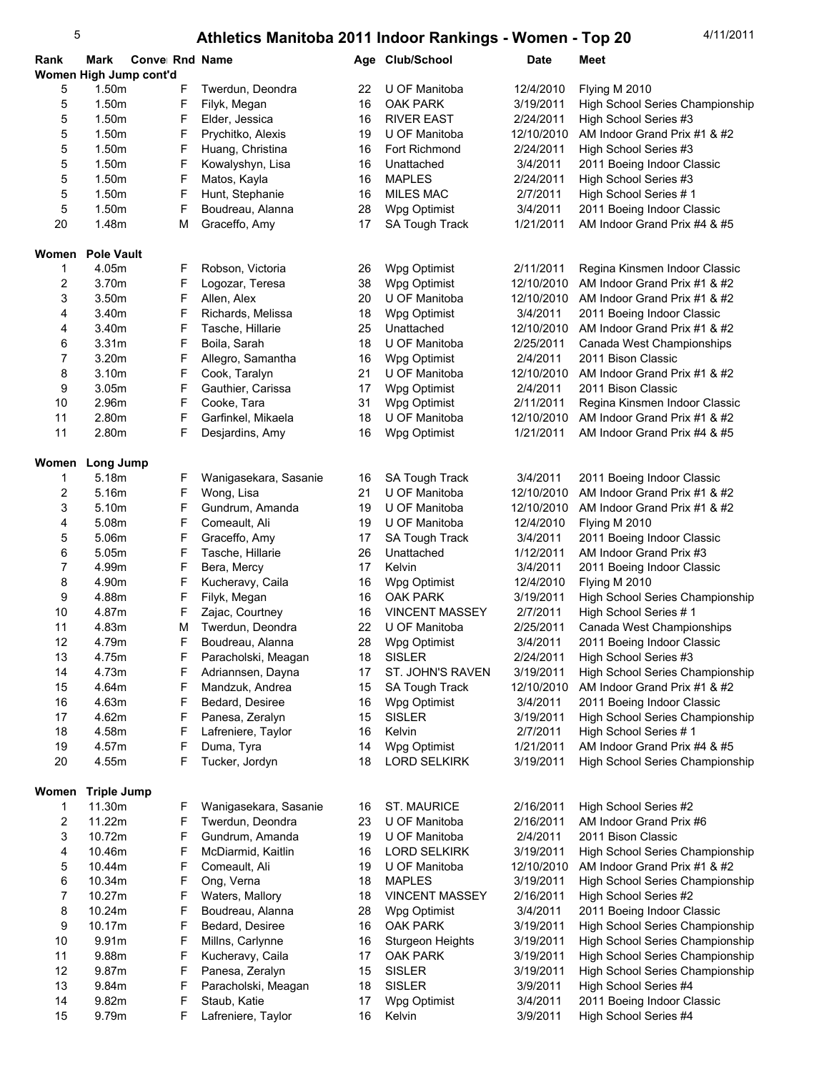| Rank           | Mark               | Conve Rnd Name         |                       |    | Age Club/School         | <b>Date</b> | <b>Meet</b>                     |
|----------------|--------------------|------------------------|-----------------------|----|-------------------------|-------------|---------------------------------|
|                |                    | Women High Jump cont'd |                       |    |                         |             |                                 |
| 5              | 1.50m              | F                      | Twerdun, Deondra      | 22 | U OF Manitoba           | 12/4/2010   | Flying M 2010                   |
| 5              | 1.50m              | F                      | Filyk, Megan          | 16 | <b>OAK PARK</b>         | 3/19/2011   | High School Series Championship |
| 5              | 1.50m              | F                      | Elder, Jessica        | 16 | <b>RIVER EAST</b>       | 2/24/2011   | High School Series #3           |
| 5              | 1.50m              | F                      | Prychitko, Alexis     | 19 | U OF Manitoba           | 12/10/2010  | AM Indoor Grand Prix #1 & #2    |
| 5              | 1.50m              | F                      | Huang, Christina      | 16 | Fort Richmond           | 2/24/2011   | High School Series #3           |
| 5              | 1.50m              | F                      | Kowalyshyn, Lisa      | 16 | Unattached              | 3/4/2011    | 2011 Boeing Indoor Classic      |
| 5              | 1.50m              | F                      | Matos, Kayla          | 16 | <b>MAPLES</b>           | 2/24/2011   | High School Series #3           |
| 5              | 1.50m              | F                      | Hunt, Stephanie       | 16 | <b>MILES MAC</b>        | 2/7/2011    | High School Series #1           |
| 5              | 1.50m              | F                      | Boudreau, Alanna      | 28 | Wpg Optimist            | 3/4/2011    | 2011 Boeing Indoor Classic      |
| 20             | 1.48m              | М                      | Graceffo, Amy         | 17 | SA Tough Track          | 1/21/2011   | AM Indoor Grand Prix #4 & #5    |
|                |                    |                        |                       |    |                         |             |                                 |
|                | Women Pole Vault   |                        |                       |    |                         |             |                                 |
| 1              | 4.05m              | F                      | Robson, Victoria      | 26 | Wpg Optimist            | 2/11/2011   | Regina Kinsmen Indoor Classic   |
| $\overline{c}$ | 3.70m              | F                      | Logozar, Teresa       | 38 | Wpg Optimist            | 12/10/2010  | AM Indoor Grand Prix #1 & #2    |
| 3              | 3.50m              | F                      | Allen, Alex           | 20 | U OF Manitoba           | 12/10/2010  | AM Indoor Grand Prix #1 & #2    |
| 4              | 3.40m              | F                      | Richards, Melissa     | 18 | Wpg Optimist            | 3/4/2011    | 2011 Boeing Indoor Classic      |
| 4              | 3.40m              | F                      | Tasche, Hillarie      | 25 | Unattached              | 12/10/2010  | AM Indoor Grand Prix #1 & #2    |
| 6              | 3.31 <sub>m</sub>  | F                      | Boila, Sarah          | 18 | U OF Manitoba           | 2/25/2011   | Canada West Championships       |
| 7              | 3.20m              | F                      | Allegro, Samantha     | 16 | Wpg Optimist            | 2/4/2011    | 2011 Bison Classic              |
| 8              | 3.10m              | F                      | Cook, Taralyn         | 21 | U OF Manitoba           | 12/10/2010  | AM Indoor Grand Prix #1 & #2    |
| 9              | 3.05 <sub>m</sub>  | F                      | Gauthier, Carissa     | 17 | Wpg Optimist            | 2/4/2011    | 2011 Bison Classic              |
| 10             | 2.96m              | F                      | Cooke, Tara           | 31 | Wpg Optimist            | 2/11/2011   | Regina Kinsmen Indoor Classic   |
| 11             | 2.80m              | F                      | Garfinkel, Mikaela    | 18 | U OF Manitoba           | 12/10/2010  | AM Indoor Grand Prix #1 & #2    |
| 11             | 2.80m              | F                      | Desjardins, Amy       | 16 | Wpg Optimist            | 1/21/2011   | AM Indoor Grand Prix #4 & #5    |
|                |                    |                        |                       |    |                         |             |                                 |
|                | Women Long Jump    |                        |                       |    |                         |             |                                 |
| 1              | 5.18m              | F                      | Wanigasekara, Sasanie | 16 | <b>SA Tough Track</b>   | 3/4/2011    | 2011 Boeing Indoor Classic      |
| 2              | 5.16m              | F                      | Wong, Lisa            | 21 | U OF Manitoba           | 12/10/2010  | AM Indoor Grand Prix #1 & #2    |
| 3              | 5.10m              | F                      | Gundrum, Amanda       | 19 | U OF Manitoba           | 12/10/2010  | AM Indoor Grand Prix #1 & #2    |
| 4              | 5.08m              | F                      | Comeault, Ali         | 19 | U OF Manitoba           | 12/4/2010   | Flying M 2010                   |
| 5              | 5.06m              | F                      | Graceffo, Amy         | 17 | <b>SA Tough Track</b>   | 3/4/2011    | 2011 Boeing Indoor Classic      |
| 6              | 5.05m              | F                      | Tasche, Hillarie      | 26 | Unattached              | 1/12/2011   | AM Indoor Grand Prix #3         |
| 7              | 4.99m              | F                      | Bera, Mercy           | 17 | Kelvin                  | 3/4/2011    | 2011 Boeing Indoor Classic      |
| 8              | 4.90m              | F                      | Kucheravy, Caila      | 16 | Wpg Optimist            | 12/4/2010   | Flying M 2010                   |
| 9              | 4.88m              | F                      | Filyk, Megan          | 16 | OAK PARK                | 3/19/2011   | High School Series Championship |
| 10             | 4.87m              | F                      | Zajac, Courtney       | 16 | <b>VINCENT MASSEY</b>   | 2/7/2011    | High School Series #1           |
| 11             | 4.83m              | M                      | Twerdun, Deondra      | 22 | U OF Manitoba           | 2/25/2011   | Canada West Championships       |
| 12             | 4.79m              | F                      | Boudreau, Alanna      | 28 | Wpg Optimist            | 3/4/2011    | 2011 Boeing Indoor Classic      |
| 13             | 4.75m              | F                      | Paracholski, Meagan   | 18 | <b>SISLER</b>           | 2/24/2011   | High School Series #3           |
| 14             | 4.73m              | F                      | Adriannsen, Dayna     | 17 | ST. JOHN'S RAVEN        | 3/19/2011   | High School Series Championship |
| 15             | 4.64m              | F                      | Mandzuk, Andrea       | 15 | <b>SA Tough Track</b>   | 12/10/2010  | AM Indoor Grand Prix #1 & #2    |
| 16             | 4.63m              | F                      | Bedard, Desiree       | 16 | Wpg Optimist            | 3/4/2011    | 2011 Boeing Indoor Classic      |
| 17             | 4.62m              | F                      | Panesa, Zeralyn       | 15 | <b>SISLER</b>           | 3/19/2011   | High School Series Championship |
| 18             | 4.58m              | F                      | Lafreniere, Taylor    | 16 | Kelvin                  | 2/7/2011    | High School Series #1           |
| 19             | 4.57m              | F                      | Duma, Tyra            | 14 | Wpg Optimist            | 1/21/2011   | AM Indoor Grand Prix #4 & #5    |
| 20             | 4.55m              | F                      | Tucker, Jordyn        | 18 | <b>LORD SELKIRK</b>     | 3/19/2011   | High School Series Championship |
|                |                    |                        |                       |    |                         |             |                                 |
| Women          | <b>Triple Jump</b> |                        |                       |    |                         |             |                                 |
| 1              | 11.30m             | F.                     | Wanigasekara, Sasanie | 16 | <b>ST. MAURICE</b>      | 2/16/2011   | High School Series #2           |
| 2              | 11.22m             | F                      | Twerdun, Deondra      | 23 | U OF Manitoba           | 2/16/2011   | AM Indoor Grand Prix #6         |
| 3              | 10.72m             | F                      | Gundrum, Amanda       | 19 | U OF Manitoba           | 2/4/2011    | 2011 Bison Classic              |
| 4              | 10.46m             | F                      | McDiarmid, Kaitlin    | 16 | <b>LORD SELKIRK</b>     | 3/19/2011   | High School Series Championship |
| 5              | 10.44m             | F                      | Comeault, Ali         | 19 | U OF Manitoba           | 12/10/2010  | AM Indoor Grand Prix #1 & #2    |
| 6              | 10.34m             | F                      | Ong, Verna            | 18 | <b>MAPLES</b>           | 3/19/2011   | High School Series Championship |
| 7              | 10.27m             | F                      | Waters, Mallory       | 18 | <b>VINCENT MASSEY</b>   | 2/16/2011   | High School Series #2           |
| 8              | 10.24m             | F                      | Boudreau, Alanna      | 28 | Wpg Optimist            | 3/4/2011    | 2011 Boeing Indoor Classic      |
| 9              | 10.17m             | F                      | Bedard, Desiree       | 16 | <b>OAK PARK</b>         | 3/19/2011   | High School Series Championship |
| 10             | 9.91 <sub>m</sub>  | F                      | Millns, Carlynne      | 16 | <b>Sturgeon Heights</b> | 3/19/2011   | High School Series Championship |
| 11             | 9.88m              | F                      | Kucheravy, Caila      | 17 | OAK PARK                | 3/19/2011   | High School Series Championship |
| 12             | 9.87m              | F                      | Panesa, Zeralyn       | 15 | <b>SISLER</b>           | 3/19/2011   | High School Series Championship |
| 13             | 9.84m              | F                      | Paracholski, Meagan   | 18 | <b>SISLER</b>           | 3/9/2011    | High School Series #4           |
| 14             | 9.82m              | F                      | Staub, Katie          | 17 | Wpg Optimist            | 3/4/2011    | 2011 Boeing Indoor Classic      |
| 15             | 9.79m              | F                      | Lafreniere, Taylor    | 16 | Kelvin                  | 3/9/2011    | High School Series #4           |